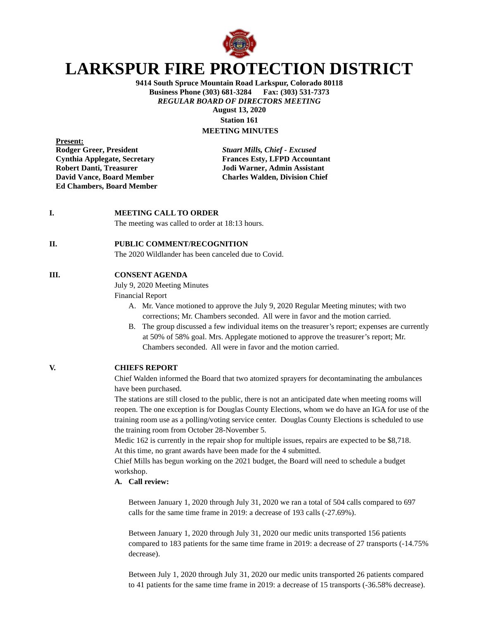

# **LARKSPUR FIRE PROTECTION DISTRICT**

**9414 South Spruce Mountain Road Larkspur, Colorado 80118 Business Phone (303) 681-3284 Fax: (303) 531-7373** *REGULAR BOARD OF DIRECTORS MEETING* **August 13, 2020 Station 161**

**MEETING MINUTES**

**Present:**<br>**Rodger Greer, President Ed Chambers, Board Member**

**Rodger Greer, President** *Stuart Mills, Chief - Excused* **Cynthia Applegate, Secretary Frances Esty, LFPD Accountant Robert Danti, Treasurer Manuel Election School Solution Assistant David Vance, Board Member Manuel School Charles Walden, Division Chief Charles Walden, Division Chief** 

#### **I. MEETING CALL TO ORDER**

The meeting was called to order at 18:13 hours.

#### **II. PUBLIC COMMENT/RECOGNITION**

The 2020 Wildlander has been canceled due to Covid.

### **III. CONSENT AGENDA**

July 9, 2020 Meeting Minutes

Financial Report

- A. Mr. Vance motioned to approve the July 9, 2020 Regular Meeting minutes; with two corrections; Mr. Chambers seconded. All were in favor and the motion carried.
- B. The group discussed a few individual items on the treasurer's report; expenses are currently at 50% of 58% goal. Mrs. Applegate motioned to approve the treasurer's report; Mr. Chambers seconded. All were in favor and the motion carried.

**V. CHIEFS REPORT**

Chief Walden informed the Board that two atomized sprayers for decontaminating the ambulances have been purchased.

The stations are still closed to the public, there is not an anticipated date when meeting rooms will reopen. The one exception is for Douglas County Elections, whom we do have an IGA for use of the training room use as a polling/voting service center. Douglas County Elections is scheduled to use the training room from October 28-November 5.

Medic 162 is currently in the repair shop for multiple issues, repairs are expected to be \$8,718. At this time, no grant awards have been made for the 4 submitted.

Chief Mills has begun working on the 2021 budget, the Board will need to schedule a budget workshop.

### **A. Call review:**

Between January 1, 2020 through July 31, 2020 we ran a total of 504 calls compared to 697 calls for the same time frame in 2019: a decrease of 193 calls (-27.69%).

Between January 1, 2020 through July 31, 2020 our medic units transported 156 patients compared to 183 patients for the same time frame in 2019: a decrease of 27 transports (-14.75% decrease).

Between July 1, 2020 through July 31, 2020 our medic units transported 26 patients compared to 41 patients for the same time frame in 2019: a decrease of 15 transports (-36.58% decrease).